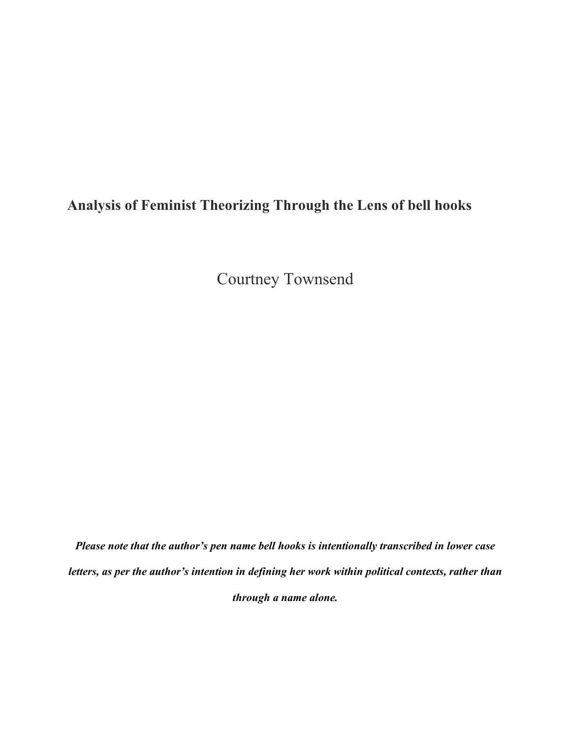## **Analysis of Feminist Theorizing Through the Lens of bell hooks**

Courtney Townsend

*Please note that the author's pen name bell hooks is intentionally transcribed in lower case letters, as per the author's intention in defining her work within political contexts, rather than through a name alone.*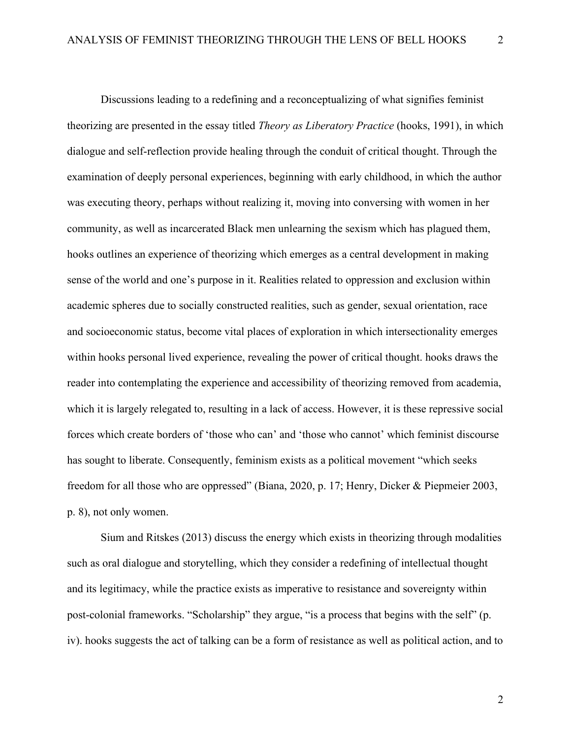Discussions leading to a redefining and a reconceptualizing of what signifies feminist theorizing are presented in the essay titled *Theory as Liberatory Practice* (hooks, 1991), in which dialogue and self-reflection provide healing through the conduit of critical thought. Through the examination of deeply personal experiences, beginning with early childhood, in which the author was executing theory, perhaps without realizing it, moving into conversing with women in her community, as well as incarcerated Black men unlearning the sexism which has plagued them, hooks outlines an experience of theorizing which emerges as a central development in making sense of the world and one's purpose in it. Realities related to oppression and exclusion within academic spheres due to socially constructed realities, such as gender, sexual orientation, race and socioeconomic status, become vital places of exploration in which intersectionality emerges within hooks personal lived experience, revealing the power of critical thought. hooks draws the reader into contemplating the experience and accessibility of theorizing removed from academia, which it is largely relegated to, resulting in a lack of access. However, it is these repressive social forces which create borders of 'those who can' and 'those who cannot' which feminist discourse has sought to liberate. Consequently, feminism exists as a political movement "which seeks freedom for all those who are oppressed" (Biana, 2020, p. 17; Henry, Dicker & Piepmeier 2003, p. 8), not only women.

Sium and Ritskes (2013) discuss the energy which exists in theorizing through modalities such as oral dialogue and storytelling, which they consider a redefining of intellectual thought and its legitimacy, while the practice exists as imperative to resistance and sovereignty within post-colonial frameworks. "Scholarship" they argue, "is a process that begins with the self" (p. iv). hooks suggests the act of talking can be a form of resistance as well as political action, and to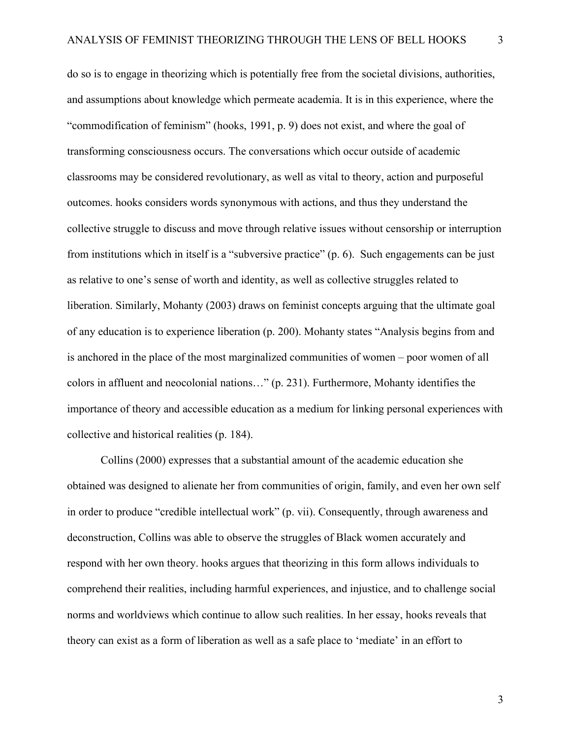do so is to engage in theorizing which is potentially free from the societal divisions, authorities, and assumptions about knowledge which permeate academia. It is in this experience, where the "commodification of feminism" (hooks, 1991, p. 9) does not exist, and where the goal of transforming consciousness occurs. The conversations which occur outside of academic classrooms may be considered revolutionary, as well as vital to theory, action and purposeful outcomes. hooks considers words synonymous with actions, and thus they understand the collective struggle to discuss and move through relative issues without censorship or interruption from institutions which in itself is a "subversive practice" (p. 6). Such engagements can be just as relative to one's sense of worth and identity, as well as collective struggles related to liberation. Similarly, Mohanty (2003) draws on feminist concepts arguing that the ultimate goal of any education is to experience liberation (p. 200). Mohanty states "Analysis begins from and is anchored in the place of the most marginalized communities of women – poor women of all colors in affluent and neocolonial nations…" (p. 231). Furthermore, Mohanty identifies the importance of theory and accessible education as a medium for linking personal experiences with collective and historical realities (p. 184).

Collins (2000) expresses that a substantial amount of the academic education she obtained was designed to alienate her from communities of origin, family, and even her own self in order to produce "credible intellectual work" (p. vii). Consequently, through awareness and deconstruction, Collins was able to observe the struggles of Black women accurately and respond with her own theory. hooks argues that theorizing in this form allows individuals to comprehend their realities, including harmful experiences, and injustice, and to challenge social norms and worldviews which continue to allow such realities. In her essay, hooks reveals that theory can exist as a form of liberation as well as a safe place to 'mediate' in an effort to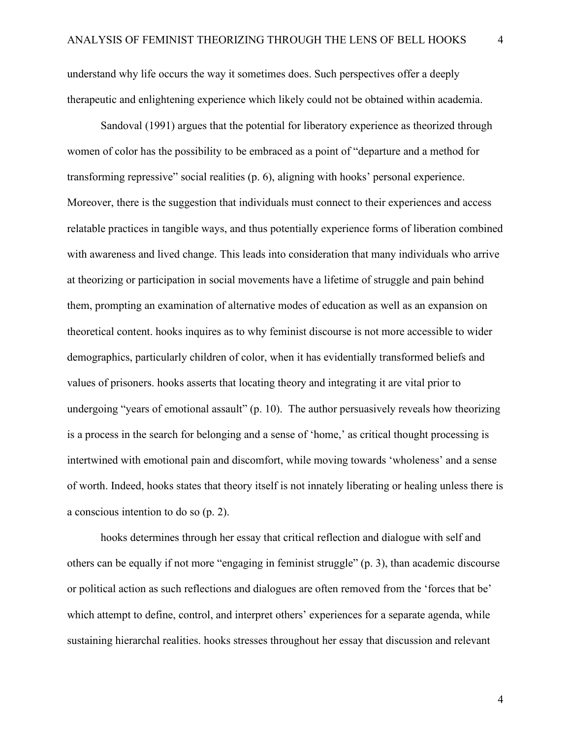understand why life occurs the way it sometimes does. Such perspectives offer a deeply therapeutic and enlightening experience which likely could not be obtained within academia.

Sandoval (1991) argues that the potential for liberatory experience as theorized through women of color has the possibility to be embraced as a point of "departure and a method for transforming repressive" social realities (p. 6), aligning with hooks' personal experience. Moreover, there is the suggestion that individuals must connect to their experiences and access relatable practices in tangible ways, and thus potentially experience forms of liberation combined with awareness and lived change. This leads into consideration that many individuals who arrive at theorizing or participation in social movements have a lifetime of struggle and pain behind them, prompting an examination of alternative modes of education as well as an expansion on theoretical content. hooks inquires as to why feminist discourse is not more accessible to wider demographics, particularly children of color, when it has evidentially transformed beliefs and values of prisoners. hooks asserts that locating theory and integrating it are vital prior to undergoing "years of emotional assault" (p. 10). The author persuasively reveals how theorizing is a process in the search for belonging and a sense of 'home,' as critical thought processing is intertwined with emotional pain and discomfort, while moving towards 'wholeness' and a sense of worth. Indeed, hooks states that theory itself is not innately liberating or healing unless there is a conscious intention to do so (p. 2).

hooks determines through her essay that critical reflection and dialogue with self and others can be equally if not more "engaging in feminist struggle" (p. 3), than academic discourse or political action as such reflections and dialogues are often removed from the 'forces that be' which attempt to define, control, and interpret others' experiences for a separate agenda, while sustaining hierarchal realities. hooks stresses throughout her essay that discussion and relevant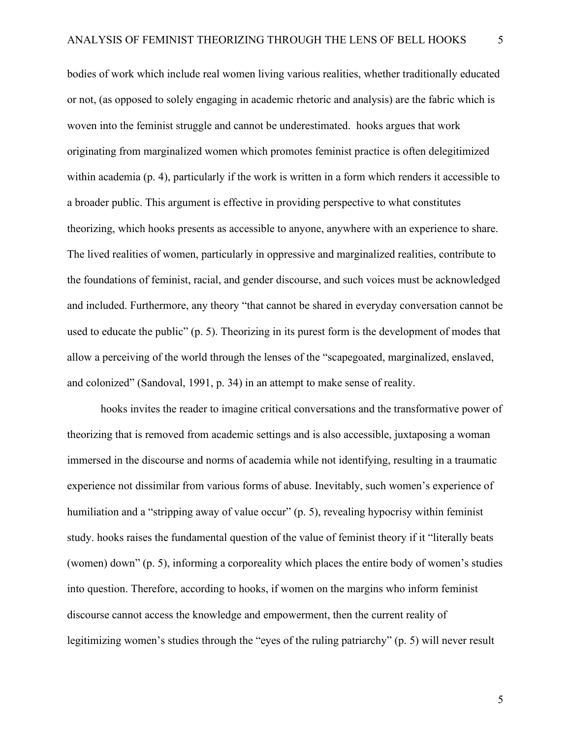bodies of work which include real women living various realities, whether traditionally educated or not, (as opposed to solely engaging in academic rhetoric and analysis) are the fabric which is woven into the feminist struggle and cannot be underestimated. hooks argues that work originating from marginalized women which promotes feminist practice is often delegitimized within academia (p. 4), particularly if the work is written in a form which renders it accessible to a broader public. This argument is effective in providing perspective to what constitutes theorizing, which hooks presents as accessible to anyone, anywhere with an experience to share. The lived realities of women, particularly in oppressive and marginalized realities, contribute to the foundations of feminist, racial, and gender discourse, and such voices must be acknowledged and included. Furthermore, any theory "that cannot be shared in everyday conversation cannot be used to educate the public" (p. 5). Theorizing in its purest form is the development of modes that allow a perceiving of the world through the lenses of the "scapegoated, marginalized, enslaved, and colonized" (Sandoval, 1991, p. 34) in an attempt to make sense of reality.

hooks invites the reader to imagine critical conversations and the transformative power of theorizing that is removed from academic settings and is also accessible, juxtaposing a woman immersed in the discourse and norms of academia while not identifying, resulting in a traumatic experience not dissimilar from various forms of abuse. Inevitably, such women's experience of humiliation and a "stripping away of value occur" (p. 5), revealing hypocrisy within feminist study. hooks raises the fundamental question of the value of feminist theory if it "literally beats (women) down" (p. 5), informing a corporeality which places the entire body of women's studies into question. Therefore, according to hooks, if women on the margins who inform feminist discourse cannot access the knowledge and empowerment, then the current reality of legitimizing women's studies through the "eyes of the ruling patriarchy" (p. 5) will never result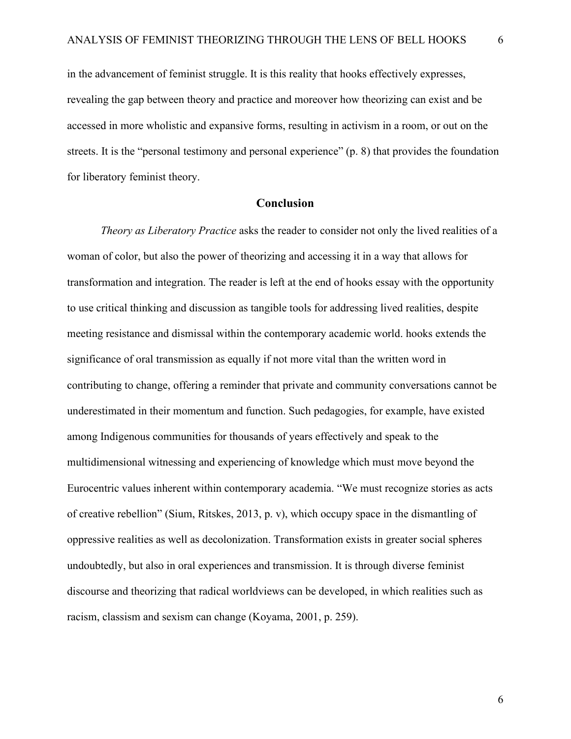in the advancement of feminist struggle. It is this reality that hooks effectively expresses, revealing the gap between theory and practice and moreover how theorizing can exist and be accessed in more wholistic and expansive forms, resulting in activism in a room, or out on the streets. It is the "personal testimony and personal experience" (p. 8) that provides the foundation for liberatory feminist theory.

## **Conclusion**

*Theory as Liberatory Practice* asks the reader to consider not only the lived realities of a woman of color, but also the power of theorizing and accessing it in a way that allows for transformation and integration. The reader is left at the end of hooks essay with the opportunity to use critical thinking and discussion as tangible tools for addressing lived realities, despite meeting resistance and dismissal within the contemporary academic world. hooks extends the significance of oral transmission as equally if not more vital than the written word in contributing to change, offering a reminder that private and community conversations cannot be underestimated in their momentum and function. Such pedagogies, for example, have existed among Indigenous communities for thousands of years effectively and speak to the multidimensional witnessing and experiencing of knowledge which must move beyond the Eurocentric values inherent within contemporary academia. "We must recognize stories as acts of creative rebellion" (Sium, Ritskes, 2013, p. v), which occupy space in the dismantling of oppressive realities as well as decolonization. Transformation exists in greater social spheres undoubtedly, but also in oral experiences and transmission. It is through diverse feminist discourse and theorizing that radical worldviews can be developed, in which realities such as racism, classism and sexism can change (Koyama, 2001, p. 259).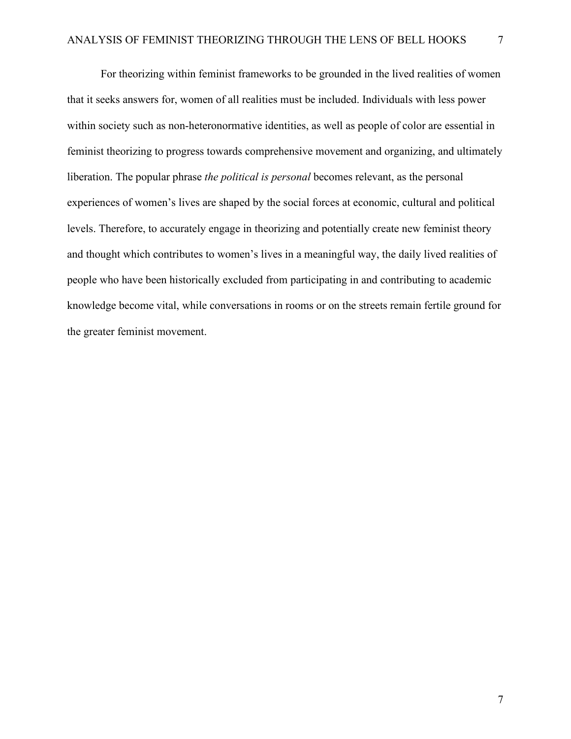For theorizing within feminist frameworks to be grounded in the lived realities of women that it seeks answers for, women of all realities must be included. Individuals with less power within society such as non-heteronormative identities, as well as people of color are essential in feminist theorizing to progress towards comprehensive movement and organizing, and ultimately liberation. The popular phrase *the political is personal* becomes relevant, as the personal experiences of women's lives are shaped by the social forces at economic, cultural and political levels. Therefore, to accurately engage in theorizing and potentially create new feminist theory and thought which contributes to women's lives in a meaningful way, the daily lived realities of people who have been historically excluded from participating in and contributing to academic knowledge become vital, while conversations in rooms or on the streets remain fertile ground for the greater feminist movement.